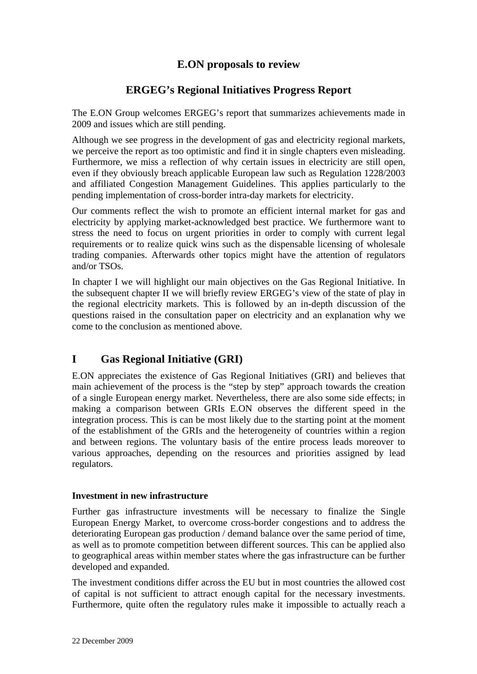# **E.ON proposals to review**

# **ERGEG's Regional Initiatives Progress Report**

The E.ON Group welcomes ERGEG's report that summarizes achievements made in 2009 and issues which are still pending.

Although we see progress in the development of gas and electricity regional markets, we perceive the report as too optimistic and find it in single chapters even misleading. Furthermore, we miss a reflection of why certain issues in electricity are still open, even if they obviously breach applicable European law such as Regulation 1228/2003 and affiliated Congestion Management Guidelines. This applies particularly to the pending implementation of cross-border intra-day markets for electricity.

Our comments reflect the wish to promote an efficient internal market for gas and electricity by applying market-acknowledged best practice. We furthermore want to stress the need to focus on urgent priorities in order to comply with current legal requirements or to realize quick wins such as the dispensable licensing of wholesale trading companies. Afterwards other topics might have the attention of regulators and/or TSOs.

In chapter I we will highlight our main objectives on the Gas Regional Initiative. In the subsequent chapter II we will briefly review ERGEG's view of the state of play in the regional electricity markets. This is followed by an in-depth discussion of the questions raised in the consultation paper on electricity and an explanation why we come to the conclusion as mentioned above.

# **I Gas Regional Initiative (GRI)**

E.ON appreciates the existence of Gas Regional Initiatives (GRI) and believes that main achievement of the process is the "step by step" approach towards the creation of a single European energy market. Nevertheless, there are also some side effects; in making a comparison between GRIs E.ON observes the different speed in the integration process. This is can be most likely due to the starting point at the moment of the establishment of the GRIs and the heterogeneity of countries within a region and between regions. The voluntary basis of the entire process leads moreover to various approaches, depending on the resources and priorities assigned by lead regulators.

# **Investment in new infrastructure**

Further gas infrastructure investments will be necessary to finalize the Single European Energy Market, to overcome cross-border congestions and to address the deteriorating European gas production / demand balance over the same period of time, as well as to promote competition between different sources. This can be applied also to geographical areas within member states where the gas infrastructure can be further developed and expanded.

The investment conditions differ across the EU but in most countries the allowed cost of capital is not sufficient to attract enough capital for the necessary investments. Furthermore, quite often the regulatory rules make it impossible to actually reach a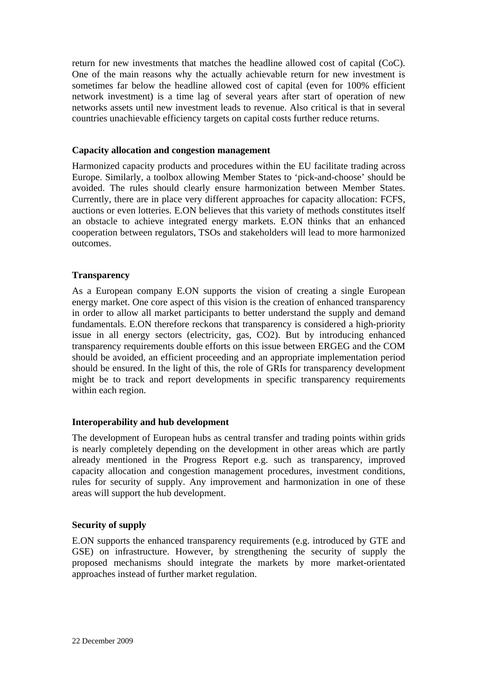return for new investments that matches the headline allowed cost of capital (CoC). One of the main reasons why the actually achievable return for new investment is sometimes far below the headline allowed cost of capital (even for 100% efficient network investment) is a time lag of several years after start of operation of new networks assets until new investment leads to revenue. Also critical is that in several countries unachievable efficiency targets on capital costs further reduce returns.

#### **Capacity allocation and congestion management**

Harmonized capacity products and procedures within the EU facilitate trading across Europe. Similarly, a toolbox allowing Member States to 'pick-and-choose' should be avoided. The rules should clearly ensure harmonization between Member States. Currently, there are in place very different approaches for capacity allocation: FCFS, auctions or even lotteries. E.ON believes that this variety of methods constitutes itself an obstacle to achieve integrated energy markets. E.ON thinks that an enhanced cooperation between regulators, TSOs and stakeholders will lead to more harmonized outcomes.

#### **Transparency**

As a European company E.ON supports the vision of creating a single European energy market. One core aspect of this vision is the creation of enhanced transparency in order to allow all market participants to better understand the supply and demand fundamentals. E.ON therefore reckons that transparency is considered a high-priority issue in all energy sectors (electricity, gas, CO2). But by introducing enhanced transparency requirements double efforts on this issue between ERGEG and the COM should be avoided, an efficient proceeding and an appropriate implementation period should be ensured. In the light of this, the role of GRIs for transparency development might be to track and report developments in specific transparency requirements within each region.

#### **Interoperability and hub development**

The development of European hubs as central transfer and trading points within grids is nearly completely depending on the development in other areas which are partly already mentioned in the Progress Report e.g. such as transparency, improved capacity allocation and congestion management procedures, investment conditions, rules for security of supply. Any improvement and harmonization in one of these areas will support the hub development.

#### **Security of supply**

E.ON supports the enhanced transparency requirements (e.g. introduced by GTE and GSE) on infrastructure. However, by strengthening the security of supply the proposed mechanisms should integrate the markets by more market-orientated approaches instead of further market regulation.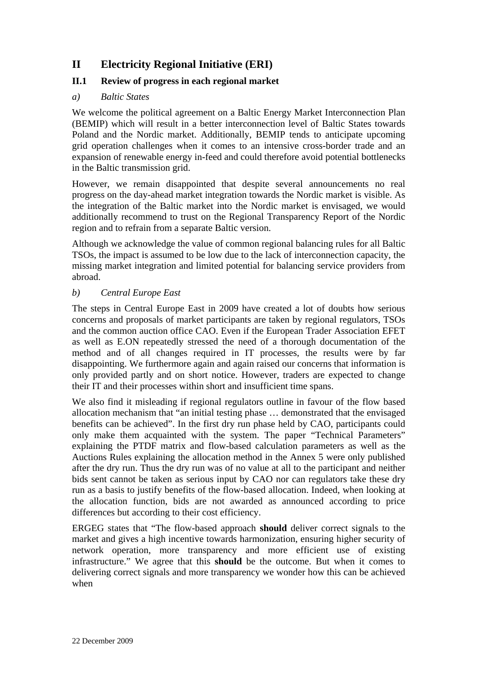# **II Electricity Regional Initiative (ERI)**

# **II.1 Review of progress in each regional market**

### *a) Baltic States*

We welcome the political agreement on a Baltic Energy Market Interconnection Plan (BEMIP) which will result in a better interconnection level of Baltic States towards Poland and the Nordic market. Additionally, BEMIP tends to anticipate upcoming grid operation challenges when it comes to an intensive cross-border trade and an expansion of renewable energy in-feed and could therefore avoid potential bottlenecks in the Baltic transmission grid.

However, we remain disappointed that despite several announcements no real progress on the day-ahead market integration towards the Nordic market is visible. As the integration of the Baltic market into the Nordic market is envisaged, we would additionally recommend to trust on the Regional Transparency Report of the Nordic region and to refrain from a separate Baltic version.

Although we acknowledge the value of common regional balancing rules for all Baltic TSOs, the impact is assumed to be low due to the lack of interconnection capacity, the missing market integration and limited potential for balancing service providers from abroad.

### *b) Central Europe East*

The steps in Central Europe East in 2009 have created a lot of doubts how serious concerns and proposals of market participants are taken by regional regulators, TSOs and the common auction office CAO. Even if the European Trader Association EFET as well as E.ON repeatedly stressed the need of a thorough documentation of the method and of all changes required in IT processes, the results were by far disappointing. We furthermore again and again raised our concerns that information is only provided partly and on short notice. However, traders are expected to change their IT and their processes within short and insufficient time spans.

We also find it misleading if regional regulators outline in favour of the flow based allocation mechanism that "an initial testing phase … demonstrated that the envisaged benefits can be achieved". In the first dry run phase held by CAO, participants could only make them acquainted with the system. The paper "Technical Parameters" explaining the PTDF matrix and flow-based calculation parameters as well as the Auctions Rules explaining the allocation method in the Annex 5 were only published after the dry run. Thus the dry run was of no value at all to the participant and neither bids sent cannot be taken as serious input by CAO nor can regulators take these dry run as a basis to justify benefits of the flow-based allocation. Indeed, when looking at the allocation function, bids are not awarded as announced according to price differences but according to their cost efficiency.

ERGEG states that "The flow-based approach **should** deliver correct signals to the market and gives a high incentive towards harmonization, ensuring higher security of network operation, more transparency and more efficient use of existing infrastructure." We agree that this **should** be the outcome. But when it comes to delivering correct signals and more transparency we wonder how this can be achieved when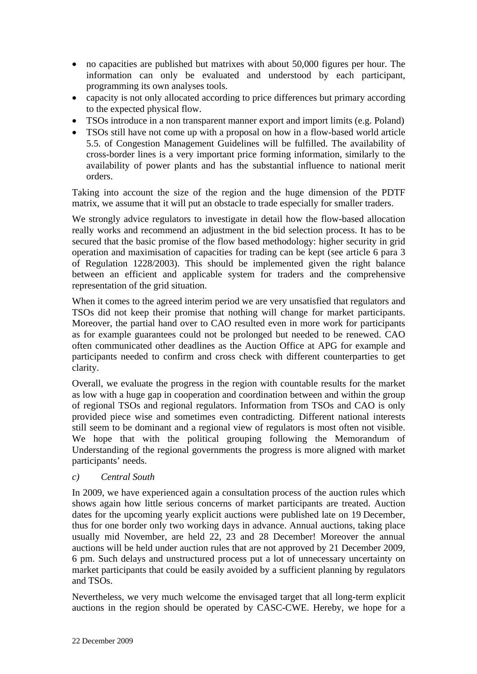- no capacities are published but matrixes with about 50,000 figures per hour. The information can only be evaluated and understood by each participant, programming its own analyses tools.
- capacity is not only allocated according to price differences but primary according to the expected physical flow.
- TSOs introduce in a non transparent manner export and import limits (e.g. Poland)
- TSOs still have not come up with a proposal on how in a flow-based world article 5.5. of Congestion Management Guidelines will be fulfilled. The availability of cross-border lines is a very important price forming information, similarly to the availability of power plants and has the substantial influence to national merit orders.

Taking into account the size of the region and the huge dimension of the PDTF matrix, we assume that it will put an obstacle to trade especially for smaller traders.

We strongly advice regulators to investigate in detail how the flow-based allocation really works and recommend an adjustment in the bid selection process. It has to be secured that the basic promise of the flow based methodology: higher security in grid operation and maximisation of capacities for trading can be kept (see article 6 para 3 of Regulation 1228/2003). This should be implemented given the right balance between an efficient and applicable system for traders and the comprehensive representation of the grid situation.

When it comes to the agreed interim period we are very unsatisfied that regulators and TSOs did not keep their promise that nothing will change for market participants. Moreover, the partial hand over to CAO resulted even in more work for participants as for example guarantees could not be prolonged but needed to be renewed. CAO often communicated other deadlines as the Auction Office at APG for example and participants needed to confirm and cross check with different counterparties to get clarity.

Overall, we evaluate the progress in the region with countable results for the market as low with a huge gap in cooperation and coordination between and within the group of regional TSOs and regional regulators. Information from TSOs and CAO is only provided piece wise and sometimes even contradicting. Different national interests still seem to be dominant and a regional view of regulators is most often not visible. We hope that with the political grouping following the Memorandum of Understanding of the regional governments the progress is more aligned with market participants' needs.

# *c) Central South*

In 2009, we have experienced again a consultation process of the auction rules which shows again how little serious concerns of market participants are treated. Auction dates for the upcoming yearly explicit auctions were published late on 19 December, thus for one border only two working days in advance. Annual auctions, taking place usually mid November, are held 22, 23 and 28 December! Moreover the annual auctions will be held under auction rules that are not approved by 21 December 2009, 6 pm. Such delays and unstructured process put a lot of unnecessary uncertainty on market participants that could be easily avoided by a sufficient planning by regulators and TSOs.

Nevertheless, we very much welcome the envisaged target that all long-term explicit auctions in the region should be operated by CASC-CWE. Hereby, we hope for a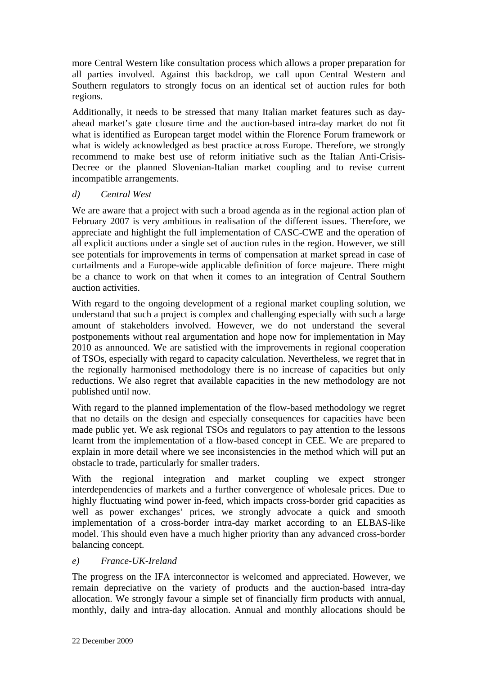more Central Western like consultation process which allows a proper preparation for all parties involved. Against this backdrop, we call upon Central Western and Southern regulators to strongly focus on an identical set of auction rules for both regions.

Additionally, it needs to be stressed that many Italian market features such as dayahead market's gate closure time and the auction-based intra-day market do not fit what is identified as European target model within the Florence Forum framework or what is widely acknowledged as best practice across Europe. Therefore, we strongly recommend to make best use of reform initiative such as the Italian Anti-Crisis-Decree or the planned Slovenian-Italian market coupling and to revise current incompatible arrangements.

# *d) Central West*

We are aware that a project with such a broad agenda as in the regional action plan of February 2007 is very ambitious in realisation of the different issues. Therefore, we appreciate and highlight the full implementation of CASC-CWE and the operation of all explicit auctions under a single set of auction rules in the region. However, we still see potentials for improvements in terms of compensation at market spread in case of curtailments and a Europe-wide applicable definition of force majeure. There might be a chance to work on that when it comes to an integration of Central Southern auction activities.

With regard to the ongoing development of a regional market coupling solution, we understand that such a project is complex and challenging especially with such a large amount of stakeholders involved. However, we do not understand the several postponements without real argumentation and hope now for implementation in May 2010 as announced. We are satisfied with the improvements in regional cooperation of TSOs, especially with regard to capacity calculation. Nevertheless, we regret that in the regionally harmonised methodology there is no increase of capacities but only reductions. We also regret that available capacities in the new methodology are not published until now.

With regard to the planned implementation of the flow-based methodology we regret that no details on the design and especially consequences for capacities have been made public yet. We ask regional TSOs and regulators to pay attention to the lessons learnt from the implementation of a flow-based concept in CEE. We are prepared to explain in more detail where we see inconsistencies in the method which will put an obstacle to trade, particularly for smaller traders.

With the regional integration and market coupling we expect stronger interdependencies of markets and a further convergence of wholesale prices. Due to highly fluctuating wind power in-feed, which impacts cross-border grid capacities as well as power exchanges' prices, we strongly advocate a quick and smooth implementation of a cross-border intra-day market according to an ELBAS-like model. This should even have a much higher priority than any advanced cross-border balancing concept.

# *e) France-UK-Ireland*

The progress on the IFA interconnector is welcomed and appreciated. However, we remain depreciative on the variety of products and the auction-based intra-day allocation. We strongly favour a simple set of financially firm products with annual, monthly, daily and intra-day allocation. Annual and monthly allocations should be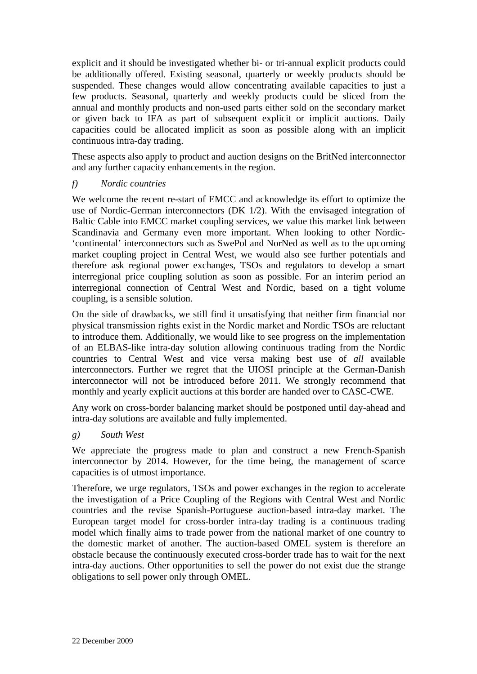explicit and it should be investigated whether bi- or tri-annual explicit products could be additionally offered. Existing seasonal, quarterly or weekly products should be suspended. These changes would allow concentrating available capacities to just a few products. Seasonal, quarterly and weekly products could be sliced from the annual and monthly products and non-used parts either sold on the secondary market or given back to IFA as part of subsequent explicit or implicit auctions. Daily capacities could be allocated implicit as soon as possible along with an implicit continuous intra-day trading.

These aspects also apply to product and auction designs on the BritNed interconnector and any further capacity enhancements in the region.

### *f) Nordic countries*

We welcome the recent re-start of EMCC and acknowledge its effort to optimize the use of Nordic-German interconnectors (DK 1/2). With the envisaged integration of Baltic Cable into EMCC market coupling services, we value this market link between Scandinavia and Germany even more important. When looking to other Nordic- 'continental' interconnectors such as SwePol and NorNed as well as to the upcoming market coupling project in Central West, we would also see further potentials and therefore ask regional power exchanges, TSOs and regulators to develop a smart interregional price coupling solution as soon as possible. For an interim period an interregional connection of Central West and Nordic, based on a tight volume coupling, is a sensible solution.

On the side of drawbacks, we still find it unsatisfying that neither firm financial nor physical transmission rights exist in the Nordic market and Nordic TSOs are reluctant to introduce them. Additionally, we would like to see progress on the implementation of an ELBAS-like intra-day solution allowing continuous trading from the Nordic countries to Central West and vice versa making best use of *all* available interconnectors. Further we regret that the UIOSI principle at the German-Danish interconnector will not be introduced before 2011. We strongly recommend that monthly and yearly explicit auctions at this border are handed over to CASC-CWE.

Any work on cross-border balancing market should be postponed until day-ahead and intra-day solutions are available and fully implemented.

#### *g) South West*

We appreciate the progress made to plan and construct a new French-Spanish interconnector by 2014. However, for the time being, the management of scarce capacities is of utmost importance.

Therefore, we urge regulators, TSOs and power exchanges in the region to accelerate the investigation of a Price Coupling of the Regions with Central West and Nordic countries and the revise Spanish-Portuguese auction-based intra-day market. The European target model for cross-border intra-day trading is a continuous trading model which finally aims to trade power from the national market of one country to the domestic market of another. The auction-based OMEL system is therefore an obstacle because the continuously executed cross-border trade has to wait for the next intra-day auctions. Other opportunities to sell the power do not exist due the strange obligations to sell power only through OMEL.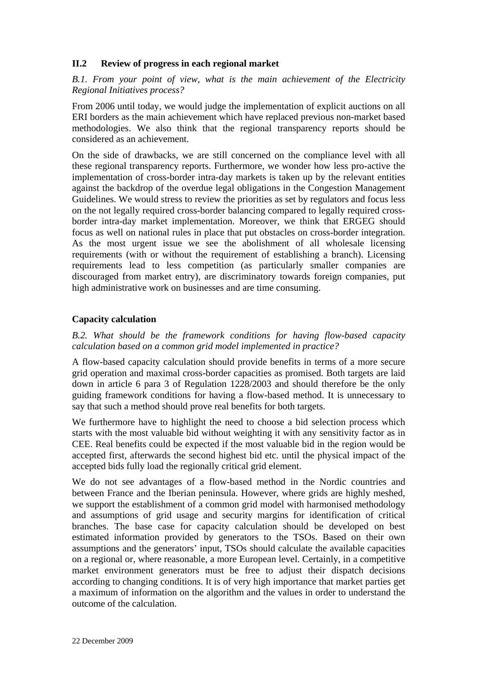# **II.2 Review of progress in each regional market**

*B.1. From your point of view, what is the main achievement of the Electricity Regional Initiatives process?* 

From 2006 until today, we would judge the implementation of explicit auctions on all ERI borders as the main achievement which have replaced previous non-market based methodologies. We also think that the regional transparency reports should be considered as an achievement.

On the side of drawbacks, we are still concerned on the compliance level with all these regional transparency reports. Furthermore, we wonder how less pro-active the implementation of cross-border intra-day markets is taken up by the relevant entities against the backdrop of the overdue legal obligations in the Congestion Management Guidelines. We would stress to review the priorities as set by regulators and focus less on the not legally required cross-border balancing compared to legally required crossborder intra-day market implementation. Moreover, we think that ERGEG should focus as well on national rules in place that put obstacles on cross-border integration. As the most urgent issue we see the abolishment of all wholesale licensing requirements (with or without the requirement of establishing a branch). Licensing requirements lead to less competition (as particularly smaller companies are discouraged from market entry), are discriminatory towards foreign companies, put high administrative work on businesses and are time consuming.

### **Capacity calculation**

*B.2. What should be the framework conditions for having flow-based capacity calculation based on a common grid model implemented in practice?* 

A flow-based capacity calculation should provide benefits in terms of a more secure grid operation and maximal cross-border capacities as promised. Both targets are laid down in article 6 para 3 of Regulation 1228/2003 and should therefore be the only guiding framework conditions for having a flow-based method. It is unnecessary to say that such a method should prove real benefits for both targets.

We furthermore have to highlight the need to choose a bid selection process which starts with the most valuable bid without weighting it with any sensitivity factor as in CEE. Real benefits could be expected if the most valuable bid in the region would be accepted first, afterwards the second highest bid etc. until the physical impact of the accepted bids fully load the regionally critical grid element.

We do not see advantages of a flow-based method in the Nordic countries and between France and the Iberian peninsula. However, where grids are highly meshed, we support the establishment of a common grid model with harmonised methodology and assumptions of grid usage and security margins for identification of critical branches. The base case for capacity calculation should be developed on best estimated information provided by generators to the TSOs. Based on their own assumptions and the generators' input, TSOs should calculate the available capacities on a regional or, where reasonable, a more European level. Certainly, in a competitive market environment generators must be free to adjust their dispatch decisions according to changing conditions. It is of very high importance that market parties get a maximum of information on the algorithm and the values in order to understand the outcome of the calculation.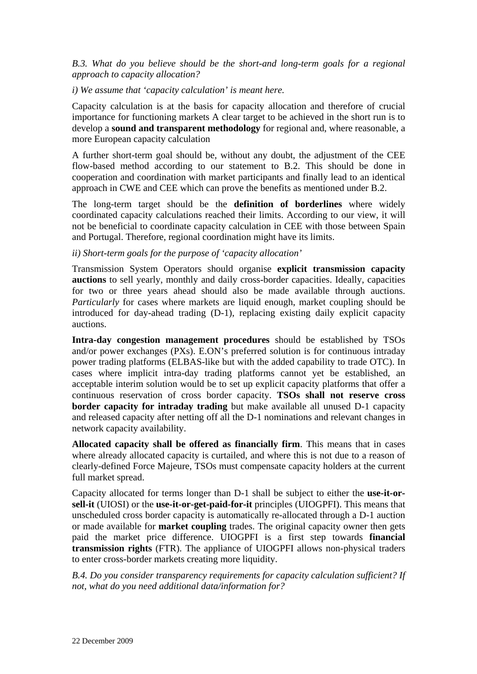### *B.3. What do you believe should be the short-and long-term goals for a regional approach to capacity allocation?*

#### *i) We assume that 'capacity calculation' is meant here.*

Capacity calculation is at the basis for capacity allocation and therefore of crucial importance for functioning markets A clear target to be achieved in the short run is to develop a **sound and transparent methodology** for regional and, where reasonable, a more European capacity calculation

A further short-term goal should be, without any doubt, the adjustment of the CEE flow-based method according to our statement to B.2. This should be done in cooperation and coordination with market participants and finally lead to an identical approach in CWE and CEE which can prove the benefits as mentioned under B.2.

The long-term target should be the **definition of borderlines** where widely coordinated capacity calculations reached their limits. According to our view, it will not be beneficial to coordinate capacity calculation in CEE with those between Spain and Portugal. Therefore, regional coordination might have its limits.

### *ii) Short-term goals for the purpose of 'capacity allocation'*

Transmission System Operators should organise **explicit transmission capacity auctions** to sell yearly, monthly and daily cross-border capacities. Ideally, capacities for two or three years ahead should also be made available through auctions. *Particularly* for cases where markets are liquid enough, market coupling should be introduced for day-ahead trading (D-1), replacing existing daily explicit capacity auctions.

**Intra-day congestion management procedures** should be established by TSOs and/or power exchanges (PXs). E.ON's preferred solution is for continuous intraday power trading platforms (ELBAS-like but with the added capability to trade OTC). In cases where implicit intra-day trading platforms cannot yet be established, an acceptable interim solution would be to set up explicit capacity platforms that offer a continuous reservation of cross border capacity. **TSOs shall not reserve cross border capacity for intraday trading** but make available all unused D-1 capacity and released capacity after netting off all the D-1 nominations and relevant changes in network capacity availability.

**Allocated capacity shall be offered as financially firm**. This means that in cases where already allocated capacity is curtailed, and where this is not due to a reason of clearly-defined Force Majeure, TSOs must compensate capacity holders at the current full market spread.

Capacity allocated for terms longer than D-1 shall be subject to either the **use-it-orsell-it** (UIOSI) or the **use-it-or-get-paid-for-it** principles (UIOGPFI). This means that unscheduled cross border capacity is automatically re-allocated through a D-1 auction or made available for **market coupling** trades. The original capacity owner then gets paid the market price difference. UIOGPFI is a first step towards **financial transmission rights** (FTR). The appliance of UIOGPFI allows non-physical traders to enter cross-border markets creating more liquidity.

*B.4. Do you consider transparency requirements for capacity calculation sufficient? If not, what do you need additional data/information for?*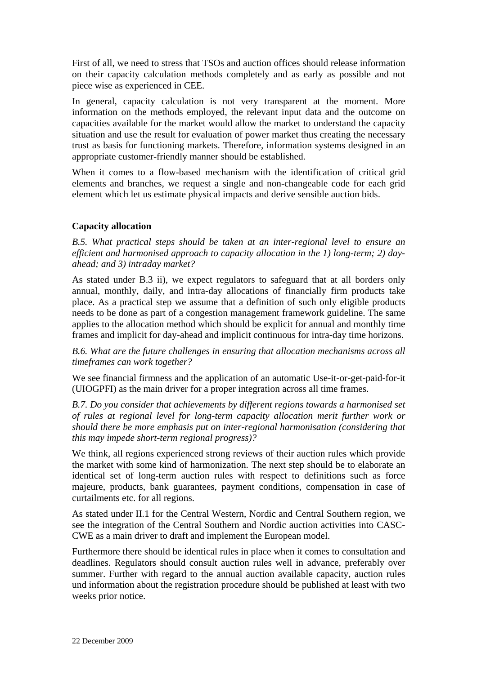First of all, we need to stress that TSOs and auction offices should release information on their capacity calculation methods completely and as early as possible and not piece wise as experienced in CEE.

In general, capacity calculation is not very transparent at the moment. More information on the methods employed, the relevant input data and the outcome on capacities available for the market would allow the market to understand the capacity situation and use the result for evaluation of power market thus creating the necessary trust as basis for functioning markets. Therefore, information systems designed in an appropriate customer-friendly manner should be established.

When it comes to a flow-based mechanism with the identification of critical grid elements and branches, we request a single and non-changeable code for each grid element which let us estimate physical impacts and derive sensible auction bids.

#### **Capacity allocation**

*B.5. What practical steps should be taken at an inter-regional level to ensure an efficient and harmonised approach to capacity allocation in the 1) long-term; 2) dayahead; and 3) intraday market?* 

As stated under B.3 ii), we expect regulators to safeguard that at all borders only annual, monthly, daily, and intra-day allocations of financially firm products take place. As a practical step we assume that a definition of such only eligible products needs to be done as part of a congestion management framework guideline. The same applies to the allocation method which should be explicit for annual and monthly time frames and implicit for day-ahead and implicit continuous for intra-day time horizons.

*B.6. What are the future challenges in ensuring that allocation mechanisms across all timeframes can work together?* 

We see financial firmness and the application of an automatic Use-it-or-get-paid-for-it (UIOGPFI) as the main driver for a proper integration across all time frames.

*B.7. Do you consider that achievements by different regions towards a harmonised set of rules at regional level for long-term capacity allocation merit further work or should there be more emphasis put on inter-regional harmonisation (considering that this may impede short-term regional progress)?* 

We think, all regions experienced strong reviews of their auction rules which provide the market with some kind of harmonization. The next step should be to elaborate an identical set of long-term auction rules with respect to definitions such as force majeure, products, bank guarantees, payment conditions, compensation in case of curtailments etc. for all regions.

As stated under II.1 for the Central Western, Nordic and Central Southern region, we see the integration of the Central Southern and Nordic auction activities into CASC-CWE as a main driver to draft and implement the European model.

Furthermore there should be identical rules in place when it comes to consultation and deadlines. Regulators should consult auction rules well in advance, preferably over summer. Further with regard to the annual auction available capacity, auction rules und information about the registration procedure should be published at least with two weeks prior notice.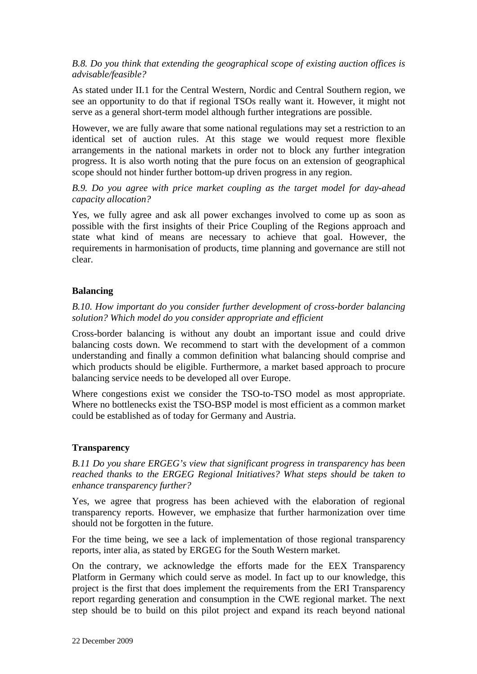### *B.8. Do you think that extending the geographical scope of existing auction offices is advisable/feasible?*

As stated under II.1 for the Central Western, Nordic and Central Southern region, we see an opportunity to do that if regional TSOs really want it. However, it might not serve as a general short-term model although further integrations are possible.

However, we are fully aware that some national regulations may set a restriction to an identical set of auction rules. At this stage we would request more flexible arrangements in the national markets in order not to block any further integration progress. It is also worth noting that the pure focus on an extension of geographical scope should not hinder further bottom-up driven progress in any region.

### *B.9. Do you agree with price market coupling as the target model for day-ahead capacity allocation?*

Yes, we fully agree and ask all power exchanges involved to come up as soon as possible with the first insights of their Price Coupling of the Regions approach and state what kind of means are necessary to achieve that goal. However, the requirements in harmonisation of products, time planning and governance are still not clear.

# **Balancing**

### *B.10. How important do you consider further development of cross-border balancing solution? Which model do you consider appropriate and efficient*

Cross-border balancing is without any doubt an important issue and could drive balancing costs down. We recommend to start with the development of a common understanding and finally a common definition what balancing should comprise and which products should be eligible. Furthermore, a market based approach to procure balancing service needs to be developed all over Europe.

Where congestions exist we consider the TSO-to-TSO model as most appropriate. Where no bottlenecks exist the TSO-BSP model is most efficient as a common market could be established as of today for Germany and Austria.

#### **Transparency**

*B.11 Do you share ERGEG's view that significant progress in transparency has been reached thanks to the ERGEG Regional Initiatives? What steps should be taken to enhance transparency further?* 

Yes, we agree that progress has been achieved with the elaboration of regional transparency reports. However, we emphasize that further harmonization over time should not be forgotten in the future.

For the time being, we see a lack of implementation of those regional transparency reports, inter alia, as stated by ERGEG for the South Western market.

On the contrary, we acknowledge the efforts made for the EEX Transparency Platform in Germany which could serve as model. In fact up to our knowledge, this project is the first that does implement the requirements from the ERI Transparency report regarding generation and consumption in the CWE regional market. The next step should be to build on this pilot project and expand its reach beyond national